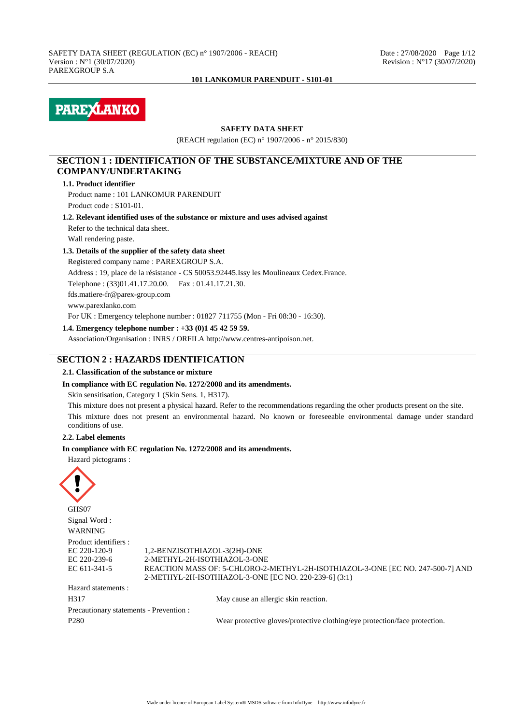# **PAREXLANKO**

## **SAFETY DATA SHEET**

(REACH regulation (EC) n° 1907/2006 - n° 2015/830)

## **SECTION 1 : IDENTIFICATION OF THE SUBSTANCE/MIXTURE AND OF THE COMPANY/UNDERTAKING**

#### **1.1. Product identifier**

Product name : 101 LANKOMUR PARENDUIT Product code : S101-01.

#### **1.2. Relevant identified uses of the substance or mixture and uses advised against**

Refer to the technical data sheet.

Wall rendering paste.

## **1.3. Details of the supplier of the safety data sheet**

Registered company name : PAREXGROUP S.A. Address : 19, place de la résistance - CS 50053.92445.Issy les Moulineaux Cedex.France. Telephone : (33)01.41.17.20.00. Fax : 01.41.17.21.30. fds.matiere-fr@parex-group.com www.parexlanko.com For UK : Emergency telephone number : 01827 711755 (Mon - Fri 08:30 - 16:30). **1.4. Emergency telephone number : +33 (0)1 45 42 59 59.**

Association/Organisation : INRS / ORFILA http://www.centres-antipoison.net.

## **SECTION 2 : HAZARDS IDENTIFICATION**

## **2.1. Classification of the substance or mixture**

## **In compliance with EC regulation No. 1272/2008 and its amendments.**

Skin sensitisation, Category 1 (Skin Sens. 1, H317).

This mixture does not present a physical hazard. Refer to the recommendations regarding the other products present on the site. This mixture does not present an environmental hazard. No known or foreseeable environmental damage under standard conditions of use.

## **2.2. Label elements**

#### **In compliance with EC regulation No. 1272/2008 and its amendments.**

Hazard pictograms :



GHS07 Signal Word : WARNING Product identifiers :<br>EC 220-120-9 EC 220-120-9 1,2-BENZISOTHIAZOL-3(2H)-ONE<br>EC 220-239-6 2-METHYL-2H-ISOTHIAZOL-3-ON 2-METHYL-2H-ISOTHIAZOL-3-ONE EC 611-341-5 REACTION MASS OF: 5-CHLORO-2-METHYL-2H-ISOTHIAZOL-3-ONE [EC NO. 247-500-7] AND 2-METHYL-2H-ISOTHIAZOL-3-ONE [EC NO. 220-239-6] (3:1) Hazard statements :

H317 May cause an allergic skin reaction.

Precautionary statements - Prevention :

P280 Wear protective gloves/protective clothing/eye protection/face protection.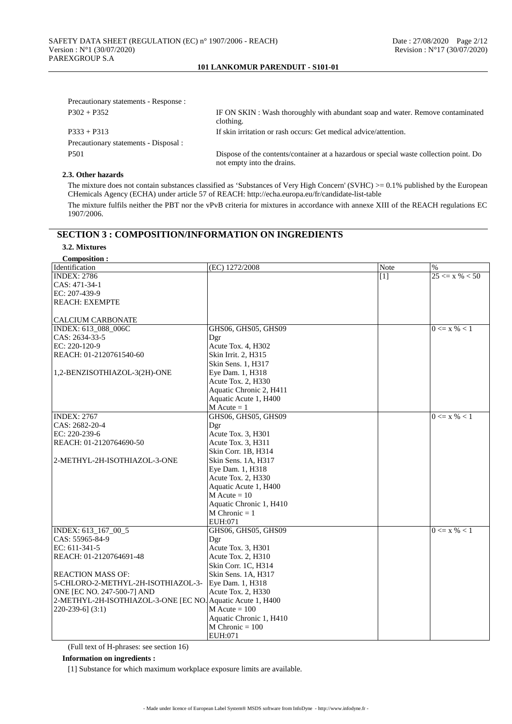| Precautionary statements - Response : |                                                                                                                      |
|---------------------------------------|----------------------------------------------------------------------------------------------------------------------|
| $P302 + P352$                         | IF ON SKIN: Wash thoroughly with abundant soap and water. Remove contaminated<br>clothing.                           |
| $P333 + P313$                         | If skin irritation or rash occurs: Get medical advice/attention.                                                     |
| Precautionary statements - Disposal : |                                                                                                                      |
| P <sub>501</sub>                      | Dispose of the contents/container at a hazardous or special waste collection point. Do<br>not empty into the drains. |

## **2.3. Other hazards**

The mixture does not contain substances classified as 'Substances of Very High Concern' (SVHC) >= 0.1% published by the European CHemicals Agency (ECHA) under article 57 of REACH: http://echa.europa.eu/fr/candidate-list-table

The mixture fulfils neither the PBT nor the vPvB criteria for mixtures in accordance with annexe XIII of the REACH regulations EC 1907/2006.

# **SECTION 3 : COMPOSITION/INFORMATION ON INGREDIENTS**

**3.2. Mixtures Composition :**

| Composition:                                               |                         |       |                    |
|------------------------------------------------------------|-------------------------|-------|--------------------|
| Identification                                             | (EC) 1272/2008          | Note  | $\%$               |
| <b>INDEX: 2786</b>                                         |                         | $[1]$ | $25 \le x \% < 50$ |
| CAS: 471-34-1                                              |                         |       |                    |
| EC: 207-439-9                                              |                         |       |                    |
| <b>REACH: EXEMPTE</b>                                      |                         |       |                    |
|                                                            |                         |       |                    |
| CALCIUM CARBONATE                                          |                         |       |                    |
| INDEX: 613 088 006C                                        | GHS06, GHS05, GHS09     |       | $0 \le x \% < 1$   |
| CAS: 2634-33-5                                             | Dgr                     |       |                    |
| EC: 220-120-9                                              | Acute Tox. 4, H302      |       |                    |
| REACH: 01-2120761540-60                                    | Skin Irrit. 2, H315     |       |                    |
|                                                            | Skin Sens. 1, H317      |       |                    |
| 1,2-BENZISOTHIAZOL-3(2H)-ONE                               | Eye Dam. 1, H318        |       |                    |
|                                                            | Acute Tox. 2, H330      |       |                    |
|                                                            | Aquatic Chronic 2, H411 |       |                    |
|                                                            | Aquatic Acute 1, H400   |       |                    |
|                                                            | $M$ Acute = 1           |       |                    |
| INDEX: 2767                                                |                         |       | $0 \le x \% < 1$   |
|                                                            | GHS06, GHS05, GHS09     |       |                    |
| CAS: 2682-20-4                                             | Dgr                     |       |                    |
| EC: 220-239-6                                              | Acute Tox. 3, H301      |       |                    |
| REACH: 01-2120764690-50                                    | Acute Tox. 3, H311      |       |                    |
|                                                            | Skin Corr. 1B, H314     |       |                    |
| 2-METHYL-2H-ISOTHIAZOL-3-ONE                               | Skin Sens. 1A, H317     |       |                    |
|                                                            | Eye Dam. 1, H318        |       |                    |
|                                                            | Acute Tox. 2, H330      |       |                    |
|                                                            | Aquatic Acute 1, H400   |       |                    |
|                                                            | $M$ Acute = 10          |       |                    |
|                                                            | Aquatic Chronic 1, H410 |       |                    |
|                                                            | $M$ Chronic = 1         |       |                    |
|                                                            | EUH:071                 |       |                    |
| INDEX: 613_167_00_5                                        | GHS06, GHS05, GHS09     |       | $0 \le x \% < 1$   |
| CAS: 55965-84-9                                            | Dgr                     |       |                    |
| EC: 611-341-5                                              | Acute Tox. 3, H301      |       |                    |
| REACH: 01-2120764691-48                                    | Acute Tox. 2, H310      |       |                    |
|                                                            | Skin Corr. 1C, H314     |       |                    |
| <b>REACTION MASS OF:</b>                                   | Skin Sens. 1A, H317     |       |                    |
| 5-CHLORO-2-METHYL-2H-ISOTHIAZOL-3-                         | Eye Dam. 1, H318        |       |                    |
| ONE [EC NO. 247-500-7] AND                                 | Acute Tox. 2, H330      |       |                    |
| 2-METHYL-2H-ISOTHIAZOL-3-ONE [EC NO. Aquatic Acute 1, H400 |                         |       |                    |
| $220-239-6$ (3:1)                                          | $M$ Acute = 100         |       |                    |
|                                                            | Aquatic Chronic 1, H410 |       |                    |
|                                                            | $M$ Chronic = 100       |       |                    |
|                                                            | EUH:071                 |       |                    |
|                                                            |                         |       |                    |

(Full text of H-phrases: see section 16)

## **Information on ingredients :**

[1] Substance for which maximum workplace exposure limits are available.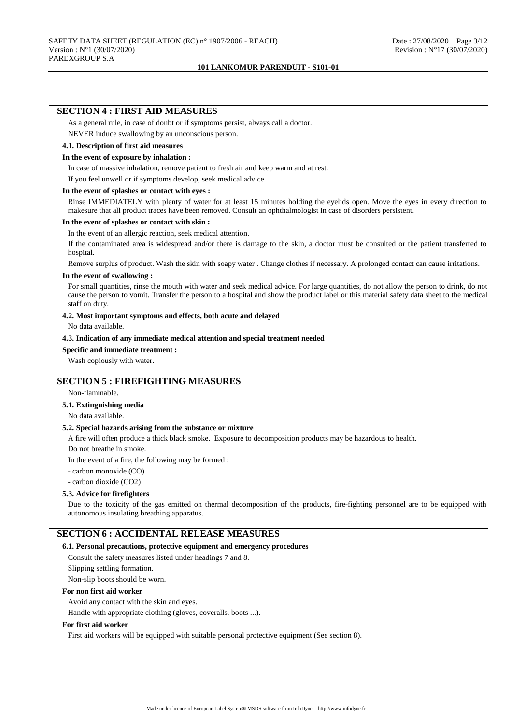## **SECTION 4 : FIRST AID MEASURES**

As a general rule, in case of doubt or if symptoms persist, always call a doctor.

NEVER induce swallowing by an unconscious person.

## **4.1. Description of first aid measures**

#### **In the event of exposure by inhalation :**

In case of massive inhalation, remove patient to fresh air and keep warm and at rest.

If you feel unwell or if symptoms develop, seek medical advice.

#### **In the event of splashes or contact with eyes :**

Rinse IMMEDIATELY with plenty of water for at least 15 minutes holding the eyelids open. Move the eyes in every direction to makesure that all product traces have been removed. Consult an ophthalmologist in case of disorders persistent.

## **In the event of splashes or contact with skin :**

In the event of an allergic reaction, seek medical attention.

If the contaminated area is widespread and/or there is damage to the skin, a doctor must be consulted or the patient transferred to hospital.

Remove surplus of product. Wash the skin with soapy water . Change clothes if necessary. A prolonged contact can cause irritations.

#### **In the event of swallowing :**

For small quantities, rinse the mouth with water and seek medical advice. For large quantities, do not allow the person to drink, do not cause the person to vomit. Transfer the person to a hospital and show the product label or this material safety data sheet to the medical staff on duty.

## **4.2. Most important symptoms and effects, both acute and delayed**

No data available.

## **4.3. Indication of any immediate medical attention and special treatment needed**

#### **Specific and immediate treatment :**

Wash copiously with water.

## **SECTION 5 : FIREFIGHTING MEASURES**

Non-flammable.

#### **5.1. Extinguishing media**

No data available.

## **5.2. Special hazards arising from the substance or mixture**

A fire will often produce a thick black smoke. Exposure to decomposition products may be hazardous to health.

Do not breathe in smoke.

In the event of a fire, the following may be formed :

- carbon monoxide (CO)

## - carbon dioxide (CO2)

#### **5.3. Advice for firefighters**

Due to the toxicity of the gas emitted on thermal decomposition of the products, fire-fighting personnel are to be equipped with autonomous insulating breathing apparatus.

# **SECTION 6 : ACCIDENTAL RELEASE MEASURES**

#### **6.1. Personal precautions, protective equipment and emergency procedures**

Consult the safety measures listed under headings 7 and 8.

Slipping settling formation.

Non-slip boots should be worn.

#### **For non first aid worker**

Avoid any contact with the skin and eyes.

Handle with appropriate clothing (gloves, coveralls, boots ...).

#### **For first aid worker**

First aid workers will be equipped with suitable personal protective equipment (See section 8).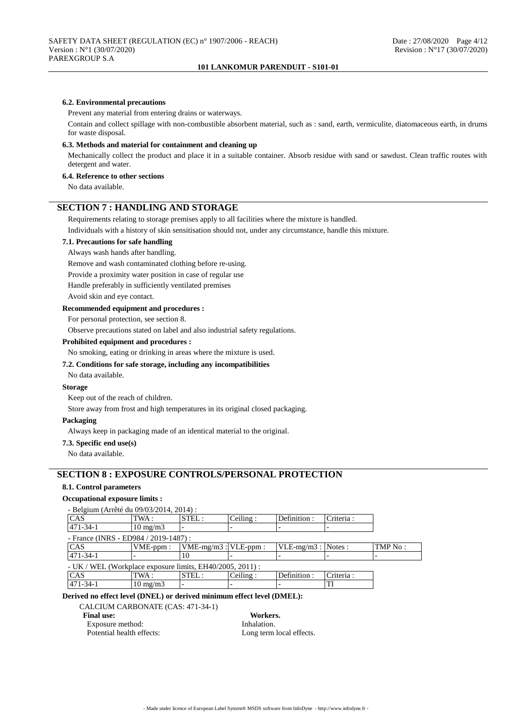## **6.2. Environmental precautions**

Prevent any material from entering drains or waterways.

Contain and collect spillage with non-combustible absorbent material, such as : sand, earth, vermiculite, diatomaceous earth, in drums for waste disposal.

## **6.3. Methods and material for containment and cleaning up**

Mechanically collect the product and place it in a suitable container. Absorb residue with sand or sawdust. Clean traffic routes with detergent and water.

## **6.4. Reference to other sections**

No data available.

## **SECTION 7 : HANDLING AND STORAGE**

Requirements relating to storage premises apply to all facilities where the mixture is handled.

Individuals with a history of skin sensitisation should not, under any circumstance, handle this mixture.

## **7.1. Precautions for safe handling**

Always wash hands after handling.

Remove and wash contaminated clothing before re-using.

Provide a proximity water position in case of regular use

Handle preferably in sufficiently ventilated premises

Avoid skin and eye contact.

## **Recommended equipment and procedures :**

For personal protection, see section 8.

Observe precautions stated on label and also industrial safety regulations.

#### **Prohibited equipment and procedures :**

No smoking, eating or drinking in areas where the mixture is used.

## **7.2. Conditions for safe storage, including any incompatibilities**

No data available.

## **Storage**

Keep out of the reach of children.

Store away from frost and high temperatures in its original closed packaging.

## **Packaging**

Always keep in packaging made of an identical material to the original.

## **7.3. Specific end use(s)**

No data available.

# **SECTION 8 : EXPOSURE CONTROLS/PERSONAL PROTECTION**

## **8.1. Control parameters**

## **Occupational exposure limits :**

| - Belgium (Arrêté du 09/03/2014, 2014) :                 |                          |                           |          |                       |            |                          |
|----------------------------------------------------------|--------------------------|---------------------------|----------|-----------------------|------------|--------------------------|
| <b>CAS</b>                                               | TWA:                     | STEL:                     | Ceiling: | Definition :          | Criteria:  |                          |
| $ 471-34-1 $                                             | $10 \text{ mg/m}$        |                           |          |                       |            |                          |
| - France (INRS - ED984 / 2019-1487) :                    |                          |                           |          |                       |            |                          |
| <b>CAS</b>                                               | $VME-ppm$ :              | $VME-mg/m3$ : $VLE-ppm$ : |          | $VLE-mg/m3$ : Notes : |            | TMP No:                  |
| $ 471-34-1 $                                             | $\overline{\phantom{0}}$ | 10                        |          |                       |            | $\overline{\phantom{0}}$ |
| - UK / WEL (Workplace exposure limits, EH40/2005, 2011): |                          |                           |          |                       |            |                          |
| CAS                                                      | TWA:                     | STEL:                     | Ceiling: | Definition:           | Criteria : |                          |
| $471 - 34 - 1$                                           | $10 \text{ mg/m}$        |                           |          |                       | TI         |                          |

## **Derived no effect level (DNEL) or derived minimum effect level (DMEL):**

CALCIUM CARBONATE (CAS: 471-34-1)

Final use: Workers. Exposure method: Inhalation. Potential health effects: Long term local effects.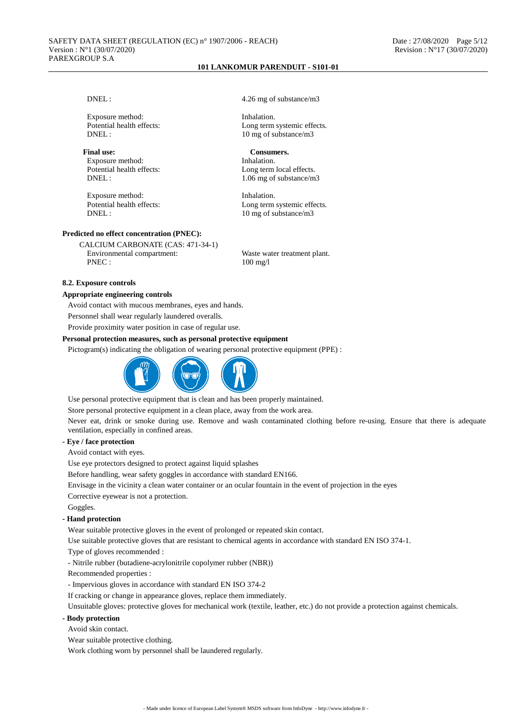Exposure method: Inhalation. DNEL : 10 mg of substance/m3

Final use: Consumers. Exposure method: Inhalation. Potential health effects: Long term local effects.

Exposure method: Inhalation.

#### **Predicted no effect concentration (PNEC):**

CALCIUM CARBONATE (CAS: 471-34-1) Environmental compartment: Waste water treatment plant. PNEC : 100 mg/l

**8.2. Exposure controls**

#### **Appropriate engineering controls**

Avoid contact with mucous membranes, eyes and hands.

Personnel shall wear regularly laundered overalls.

Provide proximity water position in case of regular use.

## **Personal protection measures, such as personal protective equipment**

Pictogram(s) indicating the obligation of wearing personal protective equipment (PPE) :



Use personal protective equipment that is clean and has been properly maintained.

Store personal protective equipment in a clean place, away from the work area.

Never eat, drink or smoke during use. Remove and wash contaminated clothing before re-using. Ensure that there is adequate ventilation, especially in confined areas.

## **- Eye / face protection**

Avoid contact with eyes.

Use eye protectors designed to protect against liquid splashes

Before handling, wear safety goggles in accordance with standard EN166.

Envisage in the vicinity a clean water container or an ocular fountain in the event of projection in the eyes

Corrective eyewear is not a protection.

Goggles.

#### **- Hand protection**

Wear suitable protective gloves in the event of prolonged or repeated skin contact.

Use suitable protective gloves that are resistant to chemical agents in accordance with standard EN ISO 374-1.

Type of gloves recommended :

- Nitrile rubber (butadiene-acrylonitrile copolymer rubber (NBR))

Recommended properties :

- Impervious gloves in accordance with standard EN ISO 374-2

If cracking or change in appearance gloves, replace them immediately.

Unsuitable gloves: protective gloves for mechanical work (textile, leather, etc.) do not provide a protection against chemicals.

## **- Body protection**

Avoid skin contact.

Wear suitable protective clothing.

Work clothing worn by personnel shall be laundered regularly.

Potential health effects:<br>
Long term systemic effects.

DNEL : 1.06 mg of substance/m3

Potential health effects:<br>
DNEL:<br>  $10 \text{ mg of substance/m3}$ 10 mg of substance/m3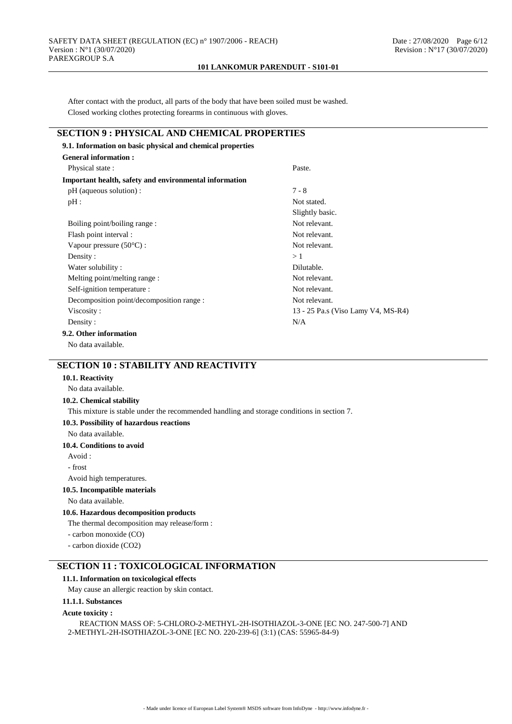After contact with the product, all parts of the body that have been soiled must be washed. Closed working clothes protecting forearms in continuous with gloves.

# **SECTION 9 : PHYSICAL AND CHEMICAL PROPERTIES**

| 9.1. Information on basic physical and chemical properties |                                    |
|------------------------------------------------------------|------------------------------------|
| <b>General information:</b>                                |                                    |
| Physical state:                                            | Paste.                             |
| Important health, safety and environmental information     |                                    |
| pH (aqueous solution):                                     | $7 - 8$                            |
| pH:                                                        | Not stated.                        |
|                                                            | Slightly basic.                    |
| Boiling point/boiling range:                               | Not relevant.                      |
| Flash point interval :                                     | Not relevant.                      |
| Vapour pressure $(50^{\circ}C)$ :                          | Not relevant.                      |
| Density:                                                   | >1                                 |
| Water solubility:                                          | Dilutable.                         |
| Melting point/melting range :                              | Not relevant.                      |
| Self-ignition temperature :                                | Not relevant.                      |
| Decomposition point/decomposition range :                  | Not relevant.                      |
| Viscosity:                                                 | 13 - 25 Pa.s (Viso Lamy V4, MS-R4) |
| Density:                                                   | N/A                                |
| 9.2. Other information                                     |                                    |

No data available.

# **SECTION 10 : STABILITY AND REACTIVITY**

## **10.1. Reactivity**

#### No data available.

#### **10.2. Chemical stability**

This mixture is stable under the recommended handling and storage conditions in section 7.

#### **10.3. Possibility of hazardous reactions**

No data available.

## **10.4. Conditions to avoid**

- Avoid :
- frost

## Avoid high temperatures.

#### **10.5. Incompatible materials**

No data available.

## **10.6. Hazardous decomposition products**

The thermal decomposition may release/form :

- carbon monoxide (CO)

- carbon dioxide (CO2)

# **SECTION 11 : TOXICOLOGICAL INFORMATION**

## **11.1. Information on toxicological effects**

May cause an allergic reaction by skin contact.

## **11.1.1. Substances**

## **Acute toxicity :**

REACTION MASS OF: 5-CHLORO-2-METHYL-2H-ISOTHIAZOL-3-ONE [EC NO. 247-500-7] AND 2-METHYL-2H-ISOTHIAZOL-3-ONE [EC NO. 220-239-6] (3:1) (CAS: 55965-84-9)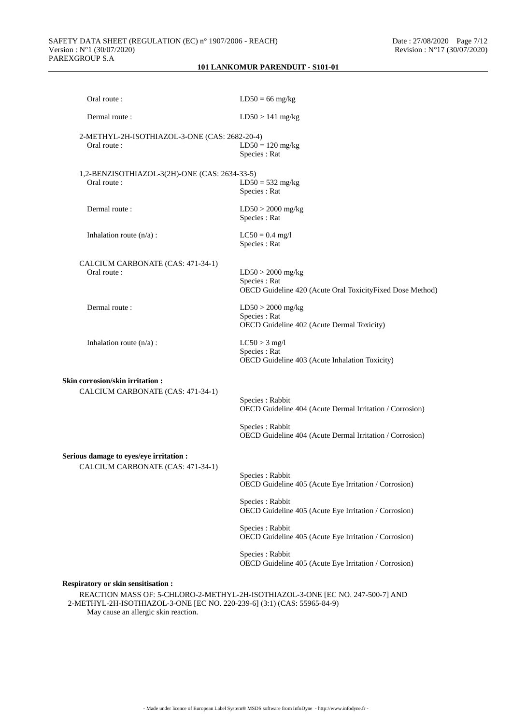| Oral route:                                                                  | $LD50 = 66$ mg/kg                                                                                |
|------------------------------------------------------------------------------|--------------------------------------------------------------------------------------------------|
| Dermal route:                                                                | $LD50 > 141$ mg/kg                                                                               |
| 2-METHYL-2H-ISOTHIAZOL-3-ONE (CAS: 2682-20-4)<br>Oral route :                | $LD50 = 120$ mg/kg<br>Species: Rat                                                               |
| 1,2-BENZISOTHIAZOL-3(2H)-ONE (CAS: 2634-33-5)<br>Oral route:                 | $LD50 = 532$ mg/kg<br>Species: Rat                                                               |
| Dermal route:                                                                | $LD50 > 2000$ mg/kg<br>Species: Rat                                                              |
| Inhalation route $(n/a)$ :                                                   | $LC50 = 0.4$ mg/l<br>Species: Rat                                                                |
| CALCIUM CARBONATE (CAS: 471-34-1)<br>Oral route:                             | $LD50 > 2000$ mg/kg<br>Species: Rat<br>OECD Guideline 420 (Acute Oral ToxicityFixed Dose Method) |
| Dermal route:                                                                | $LD50 > 2000$ mg/kg<br>Species: Rat<br>OECD Guideline 402 (Acute Dermal Toxicity)                |
| Inhalation route $(n/a)$ :                                                   | $LC50 > 3$ mg/l<br>Species: Rat<br>OECD Guideline 403 (Acute Inhalation Toxicity)                |
| <b>Skin corrosion/skin irritation :</b>                                      |                                                                                                  |
| CALCIUM CARBONATE (CAS: 471-34-1)                                            | Species : Rabbit<br>OECD Guideline 404 (Acute Dermal Irritation / Corrosion)                     |
|                                                                              | Species : Rabbit<br>OECD Guideline 404 (Acute Dermal Irritation / Corrosion)                     |
| Serious damage to eyes/eye irritation :<br>CALCIUM CARBONATE (CAS: 471-34-1) | Species : Rabbit<br>OECD Guideline 405 (Acute Eye Irritation / Corrosion)                        |
|                                                                              | Species : Rabbit<br>OECD Guideline 405 (Acute Eye Irritation / Corrosion)                        |
|                                                                              | Species : Rabbit<br>OECD Guideline 405 (Acute Eye Irritation / Corrosion)                        |
|                                                                              | Species : Rabbit<br>OECD Guideline 405 (Acute Eye Irritation / Corrosion)                        |
| <b>Respiratory or skin sensitisation:</b>                                    | REACTION MASS OF: 5-CHLORO-2-METHYL-2H-ISOTHIAZOL-3-ONE [EC NO. 247-500-7] AND                   |

2-METHYL-2H-ISOTHIAZOL-3-ONE [EC NO. 220-239-6] (3:1) (CAS: 55965-84-9) May cause an allergic skin reaction.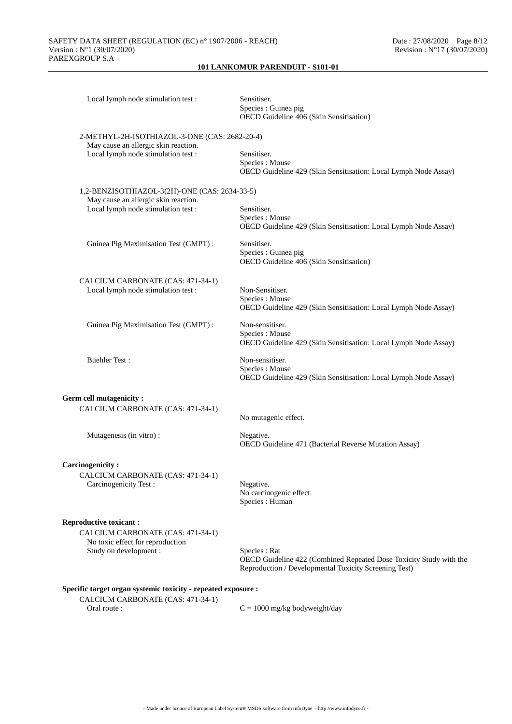| Local lymph node stimulation test :                                                                                              | Sensitiser.<br>Species : Guinea pig<br>OECD Guideline 406 (Skin Sensitisation)                                                               |
|----------------------------------------------------------------------------------------------------------------------------------|----------------------------------------------------------------------------------------------------------------------------------------------|
| 2-METHYL-2H-ISOTHIAZOL-3-ONE (CAS: 2682-20-4)<br>May cause an allergic skin reaction.<br>Local lymph node stimulation test :     | Sensitiser.<br>Species : Mouse<br>OECD Guideline 429 (Skin Sensitisation: Local Lymph Node Assay)                                            |
| 1,2-BENZISOTHIAZOL-3(2H)-ONE (CAS: 2634-33-5)<br>May cause an allergic skin reaction.<br>Local lymph node stimulation test :     | Sensitiser.<br>Species : Mouse<br>OECD Guideline 429 (Skin Sensitisation: Local Lymph Node Assay)                                            |
| Guinea Pig Maximisation Test (GMPT) :                                                                                            | Sensitiser.<br>Species : Guinea pig<br>OECD Guideline 406 (Skin Sensitisation)                                                               |
| CALCIUM CARBONATE (CAS: 471-34-1)<br>Local lymph node stimulation test :                                                         | Non-Sensitiser.<br>Species : Mouse<br>OECD Guideline 429 (Skin Sensitisation: Local Lymph Node Assay)                                        |
| Guinea Pig Maximisation Test (GMPT):                                                                                             | Non-sensitiser.<br>Species : Mouse<br>OECD Guideline 429 (Skin Sensitisation: Local Lymph Node Assay)                                        |
| <b>Buehler Test:</b>                                                                                                             | Non-sensitiser.<br>Species : Mouse<br>OECD Guideline 429 (Skin Sensitisation: Local Lymph Node Assay)                                        |
| <b>Germ cell mutagenicity:</b><br>CALCIUM CARBONATE (CAS: 471-34-1)                                                              | No mutagenic effect.                                                                                                                         |
| Mutagenesis (in vitro) :                                                                                                         | Negative.<br>OECD Guideline 471 (Bacterial Reverse Mutation Assay)                                                                           |
| <b>Carcinogenicity:</b><br>CALCIUM CARBONATE (CAS: 471-34-1)<br>Carcinogenicity Test:                                            | Negative.<br>No carcinogenic effect.<br>Species : Human                                                                                      |
| <b>Reproductive toxicant:</b><br>CALCIUM CARBONATE (CAS: 471-34-1)<br>No toxic effect for reproduction<br>Study on development : | Species : Rat<br>OECD Guideline 422 (Combined Repeated Dose Toxicity Study with the<br>Reproduction / Developmental Toxicity Screening Test) |
| Specific target organ systemic toxicity - repeated exposure :<br>CALCIUM CARBONATE (CAS: 471-34-1)                               |                                                                                                                                              |

ALCIUM CARBONATE (CAS: 471-34-1)<br>Oral route :

 $C = 1000$  mg/kg bodyweight/day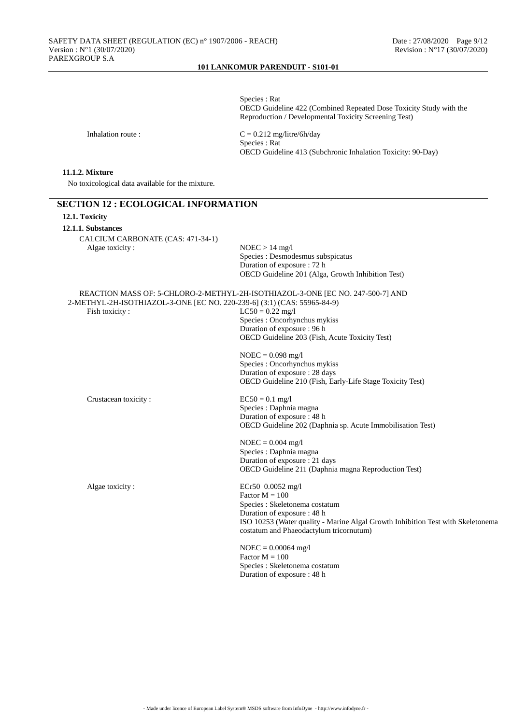Species : Rat OECD Guideline 422 (Combined Repeated Dose Toxicity Study with the Reproduction / Developmental Toxicity Screening Test)

Inhalation route :  $C = 0.212$  mg/litre/6h/day Species : Rat OECD Guideline 413 (Subchronic Inhalation Toxicity: 90-Day)

## **11.1.2. Mixture**

No toxicological data available for the mixture.

| <b>SECTION 12 : ECOLOGICAL INFORMATION</b><br>12.1. Toxicity            |                                                                                                                |
|-------------------------------------------------------------------------|----------------------------------------------------------------------------------------------------------------|
| 12.1.1. Substances                                                      |                                                                                                                |
| CALCIUM CARBONATE (CAS: 471-34-1)                                       |                                                                                                                |
| Algae toxicity:                                                         | $NOEC > 14$ mg/l                                                                                               |
|                                                                         | Species : Desmodesmus subspicatus                                                                              |
|                                                                         | Duration of exposure : 72 h                                                                                    |
|                                                                         | OECD Guideline 201 (Alga, Growth Inhibition Test)                                                              |
|                                                                         | REACTION MASS OF: 5-CHLORO-2-METHYL-2H-ISOTHIAZOL-3-ONE [EC NO. 247-500-7] AND                                 |
| 2-METHYL-2H-ISOTHIAZOL-3-ONE [EC NO. 220-239-6] (3:1) (CAS: 55965-84-9) |                                                                                                                |
| Fish toxicity:                                                          | $LC50 = 0.22$ mg/l                                                                                             |
|                                                                         | Species : Oncorhynchus mykiss                                                                                  |
|                                                                         | Duration of exposure : 96 h                                                                                    |
|                                                                         | OECD Guideline 203 (Fish, Acute Toxicity Test)                                                                 |
|                                                                         | $NOEC = 0.098$ mg/l                                                                                            |
|                                                                         | Species : Oncorhynchus mykiss                                                                                  |
|                                                                         | Duration of exposure : 28 days                                                                                 |
|                                                                         | OECD Guideline 210 (Fish, Early-Life Stage Toxicity Test)                                                      |
| Crustacean toxicity:                                                    | $EC50 = 0.1$ mg/l                                                                                              |
|                                                                         | Species : Daphnia magna                                                                                        |
|                                                                         | Duration of exposure : 48 h                                                                                    |
|                                                                         | OECD Guideline 202 (Daphnia sp. Acute Immobilisation Test)                                                     |
|                                                                         | $NOEC = 0.004$ mg/l                                                                                            |
|                                                                         | Species : Daphnia magna                                                                                        |
|                                                                         | Duration of exposure : 21 days                                                                                 |
|                                                                         | OECD Guideline 211 (Daphnia magna Reproduction Test)                                                           |
| Algae toxicity:                                                         | ECr50 $0.0052$ mg/l                                                                                            |
|                                                                         | Factor $M = 100$                                                                                               |
|                                                                         | Species : Skeletonema costatum                                                                                 |
|                                                                         | Duration of exposure : 48 h<br>ISO 10253 (Water quality - Marine Algal Growth Inhibition Test with Skeletonema |
|                                                                         | costatum and Phaeodactylum tricornutum)                                                                        |
|                                                                         | $NOEC = 0.00064$ mg/l                                                                                          |
|                                                                         | Factor $M = 100$                                                                                               |
|                                                                         | Species : Skeletonema costatum                                                                                 |
|                                                                         | Duration of exposure: 48 h                                                                                     |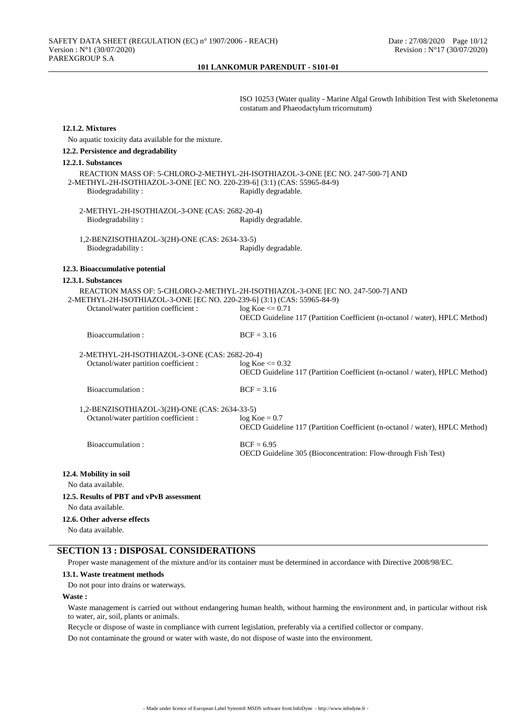ISO 10253 (Water quality - Marine Algal Growth Inhibition Test with Skeletonema costatum and Phaeodactylum tricornutum)

| 12.1.2. Mixtures                                                                                                 |                                                                                                                                                                                     |
|------------------------------------------------------------------------------------------------------------------|-------------------------------------------------------------------------------------------------------------------------------------------------------------------------------------|
| No aquatic toxicity data available for the mixture.                                                              |                                                                                                                                                                                     |
| 12.2. Persistence and degradability                                                                              |                                                                                                                                                                                     |
| 12.2.1. Substances                                                                                               |                                                                                                                                                                                     |
| 2-METHYL-2H-ISOTHIAZOL-3-ONE [EC NO. 220-239-6] (3:1) (CAS: 55965-84-9)<br>Biodegradability:                     | REACTION MASS OF: 5-CHLORO-2-METHYL-2H-ISOTHIAZOL-3-ONE [EC NO. 247-500-7] AND<br>Rapidly degradable.                                                                               |
| 2-METHYL-2H-ISOTHIAZOL-3-ONE (CAS: 2682-20-4)<br>Biodegradability:                                               | Rapidly degradable.                                                                                                                                                                 |
| 1,2-BENZISOTHIAZOL-3(2H)-ONE (CAS: 2634-33-5)<br>Biodegradability:                                               | Rapidly degradable.                                                                                                                                                                 |
| 12.3. Bioaccumulative potential                                                                                  |                                                                                                                                                                                     |
| 12.3.1. Substances                                                                                               |                                                                                                                                                                                     |
| 2-METHYL-2H-ISOTHIAZOL-3-ONE [EC NO. 220-239-6] (3:1) (CAS: 55965-84-9)<br>Octanol/water partition coefficient : | REACTION MASS OF: 5-CHLORO-2-METHYL-2H-ISOTHIAZOL-3-ONE [EC NO. 247-500-7] AND<br>$log Koe \le 0.71$<br>OECD Guideline 117 (Partition Coefficient (n-octanol / water), HPLC Method) |
| Bioaccumulation:                                                                                                 | $BCF = 3.16$                                                                                                                                                                        |
| 2-METHYL-2H-ISOTHIAZOL-3-ONE (CAS: 2682-20-4)<br>Octanol/water partition coefficient :                           | $log Koe \le 0.32$<br>OECD Guideline 117 (Partition Coefficient (n-octanol / water), HPLC Method)                                                                                   |
| Bioaccumulation:                                                                                                 | $BCF = 3.16$                                                                                                                                                                        |
| 1,2-BENZISOTHIAZOL-3(2H)-ONE (CAS: 2634-33-5)                                                                    |                                                                                                                                                                                     |
| Octanol/water partition coefficient :                                                                            | $log Koe = 0.7$<br>OECD Guideline 117 (Partition Coefficient (n-octanol / water), HPLC Method)                                                                                      |
| Bioaccumulation:                                                                                                 | $BCF = 6.95$<br>OECD Guideline 305 (Bioconcentration: Flow-through Fish Test)                                                                                                       |
| 12.4. Mobility in soil                                                                                           |                                                                                                                                                                                     |
| No data available.                                                                                               |                                                                                                                                                                                     |
| 12.5. Results of PBT and vPvB assessment                                                                         |                                                                                                                                                                                     |
| No data available.                                                                                               |                                                                                                                                                                                     |
| 12.6. Other adverse effects                                                                                      |                                                                                                                                                                                     |

No data available.

# **SECTION 13 : DISPOSAL CONSIDERATIONS**

Proper waste management of the mixture and/or its container must be determined in accordance with Directive 2008/98/EC.

#### **13.1. Waste treatment methods**

Do not pour into drains or waterways.

## **Waste :**

Waste management is carried out without endangering human health, without harming the environment and, in particular without risk to water, air, soil, plants or animals.

Recycle or dispose of waste in compliance with current legislation, preferably via a certified collector or company.

Do not contaminate the ground or water with waste, do not dispose of waste into the environment.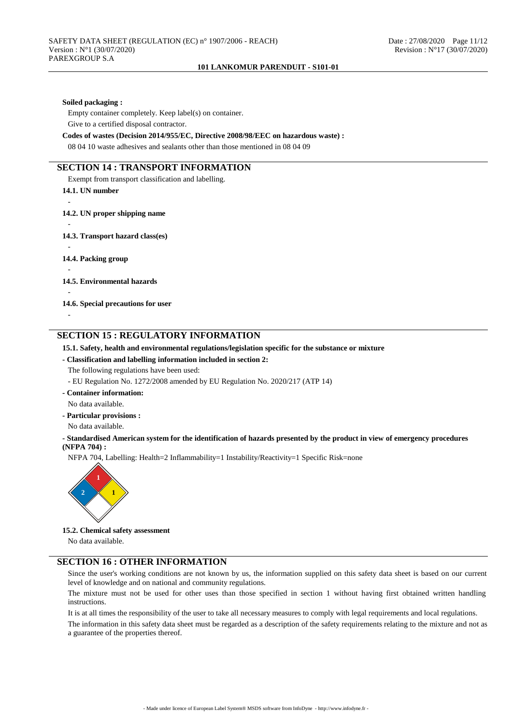#### **Soiled packaging :**

Empty container completely. Keep label(s) on container. Give to a certified disposal contractor.

**Codes of wastes (Decision 2014/955/EC, Directive 2008/98/EEC on hazardous waste) :**

08 04 10 waste adhesives and sealants other than those mentioned in 08 04 09

# **SECTION 14 : TRANSPORT INFORMATION**

Exempt from transport classification and labelling.

**14.1. UN number**

**14.2. UN proper shipping name**

- **14.3. Transport hazard class(es)**
- -

-

-

-

-

**14.4. Packing group**

**14.5. Environmental hazards**

**14.6. Special precautions for user**

-

# **SECTION 15 : REGULATORY INFORMATION**

#### **15.1. Safety, health and environmental regulations/legislation specific for the substance or mixture**

**- Classification and labelling information included in section 2:**

The following regulations have been used:

- EU Regulation No. 1272/2008 amended by EU Regulation No. 2020/217 (ATP 14)

- **Container information:** No data available.
- **Particular provisions :**

No data available.

**- Standardised American system for the identification of hazards presented by the product in view of emergency procedures (NFPA 704) :**

NFPA 704, Labelling: Health=2 Inflammability=1 Instability/Reactivity=1 Specific Risk=none



**15.2. Chemical safety assessment**

No data available.

# **SECTION 16 : OTHER INFORMATION**

Since the user's working conditions are not known by us, the information supplied on this safety data sheet is based on our current level of knowledge and on national and community regulations.

The mixture must not be used for other uses than those specified in section 1 without having first obtained written handling instructions.

It is at all times the responsibility of the user to take all necessary measures to comply with legal requirements and local regulations.

The information in this safety data sheet must be regarded as a description of the safety requirements relating to the mixture and not as a guarantee of the properties thereof.